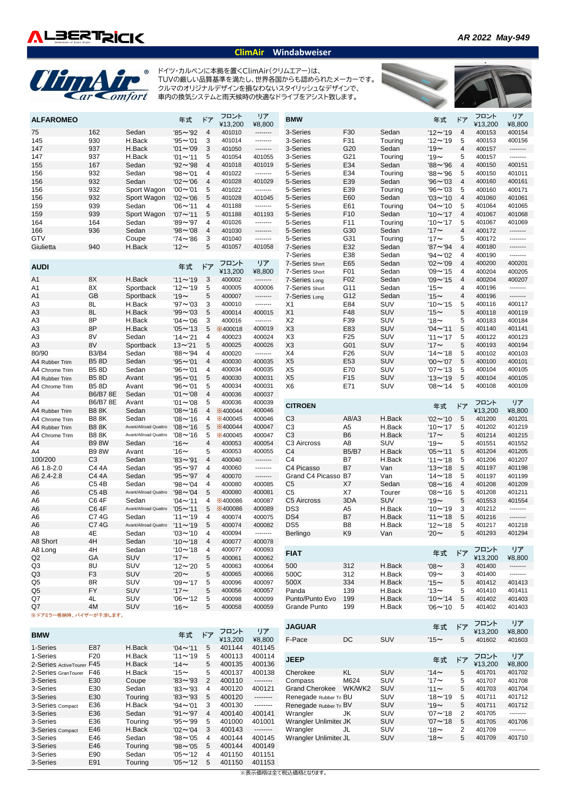

## **ClimAir Windabweiser**

## **Chry Air** ドイツ・カルベンに本拠を置くClimAir(クリムエアー)は、 TUVの厳しい品質基準を満たし、世界各国からも認められたメーカーです。 クルマのオリジナルデザインを損なわないスタイリッシュなデザインで、 車内の換気システムと雨天候時の快適なドライブをアシスト致します。フロント リア <sub>DMM</sub> - フロント - フロント リア **ALFAROMEO** 年式 ドア **BMW** 年式 ドア ¥13,200 ¥8,800 ¥13,200 ¥8,800 75 162 Sedan '85~'92 4 401010 -------- 3-Series F30 Sedan '12~'19 4 400153 400154 145 930 H.Back '95~'01 3 401014 -------- 3-Series F31 Touring '12~'19 5 400153 400156 147 937 H.Back '01~'09 3 401050 -------- 3-Series G20 Sedan '19~ 4 400157 -------- 147 937 H.Back '01~'11 5 401054 401055 3-Series G21 Touring '19~ 5 400157 -------- 155 167 Sedan '92~'98 4 401018 401019 5-Series E34 Sedan '88~'96 4 400150 400151 156 932 Sedan '98~'01 4 401022 -------- 5-Series E34 Touring '88~'96 5 400150 401011 156 932 Sedan '02~'06 4 401028 401029 5-Series E39 Sedan '96~'03 4 400160 400161 156 932 Sport Wagon '00~'01 5 401022 -------- 5-Series E39 Touring '96~'03 5 400160 400171 156 932 Sport Wagon '02~'06 5 401028 401045 5-Series E60 Sedan '03~'10 4 401060 401061 159 939 Sedan '06~'11 4 401188 -------- 5-Series E61 Touring '04~'10 5 401064 401065 159 939 Sport Wagon '07~'11 5 401188 401193 5-Series F10 Sedan '10~'17 4 401067 401068 164 164 Sedan '89~'97 4 401026 -------- 5-Series F11 Touring '10~'17 5 401067 401069 166 936 Sedan '98~'08 4 401030 -------- 5-Series G30 Sedan '17~ 4 400172 -------- GTV Coupe '74~'86 3 401040 -------- 5-Series G31 Touring '17~ 5 400172 -------- Giulietta 940 H.Back '12~ 5 401057 401058 7-Series E32 Sedan '87~'94 4 400180 -------- 7-Series E38 Sedan '94~'02 4 400190 -------- フロント リア 7-Series Short E65 Sedan '02~'09 4 400200 400201 **AUDI キュース インター インター インター キュート 年式 ドア** ¥13,200 ¥8,800 7-Series Short F01 Sedan '09~'15 4 400204 400205 A1 8X H.Back '11~'19 3 400002 -------- 7-Series Long F02 Sedan '09~'15 4 400204 400207 A1 8X Sportback '12~'19 5 400005 400006 7-Series Short G11 Sedan '15~ 4 400196 -------- A1 GB Sportback '19~ 5 400007 -------- 7-Series Long G12 Sedan '15~ 4 400196 -------- A3 8L H.Back '97~'03 3 400010 -------- X1 E84 SUV '10~'15 5 400116 400117 A3 8L H.Back '99~'03 5 400014 400015 X1 F48 SUV '15~ 5 400118 400119 A3 8P H.Back '04~'06 3 400016 -------- X2 F39 SUV '18~ 5 400183 400184 A3 8P H.Back '05~'13 5 ※400018 400019 X3 E83 SUV '04~'11 5 401140 401141 A3 8V Sedan '14~'21 4 400023 400024 X3 F25 SUV '11~'17 5 400122 400123 A3 8V Sportback 13~'21 5 400025 400026 X3 G01 SUV '17~ 5 400193 400194 80/90 B3/B4 Sedan '88~'94 4 400020 -------- X4 F26 SUV '14~'18 5 400102 400103 A4 Rubber Trim B5 8D Sedan '95~'01 4 400030 400035 X5 E53 SUV '00~'07 5 400100 400101 A4 Chrome Trim B5 8D Sedan '96~'01 4 400034 400035 X5 E70 SUV '07~'13 5 400104 400105 A4 Rubber Trim B5 8D Avant '95~'01 5 400030 400031 X5 F15 SUV '13~'19 5 400104 400105 A4 Chrome Trim B5 8D Avant '96~'01 5 400034 400031 X6 E71 SUV '08~'14 5 400108 400109 A4 B6/B7 8E Sedan '01~'08 4 400036 400037 A4 B6/B7 8E Avant '01~'08 5 400036 400039 フロント リア **CITROEN キズキ エコン エコン エコン エコン 年式 ドア** A4 Rubber Trim B8 8K Sedan '08~'16 4 ※400044 400046 ¥13,200 ¥8,800 A4 Chrome Trim B8 8K Sedan '08~'16 4 ※400045 400046 C3 A8/A3 H.Back '02~'10 5 401200 401201 A4 Rubber Trim B8 8K Avant/Allroad Quattro '08~'16 5 ※400044 400047 C3 A5 H.Back '10~'17 5 401202 401219 A4 Chrome Trim B8 8K Avant/Allroad Quattro '08~'16 5 ※400045 400047 C3 B6 H.Back '17~ 5 401214 401215 A4 B9 8W Sedan '16~ 4 400053 400054 C3 Aircross A8 SUV '19~ 5 401551 401552 A4 B9 8W Avant '16~ 5 400053 400055 C4 B5/B7 H.Back '05~'11 5 401204 401205 100/200 C3 Sedan '83~'91 4 400040 -------- C4 B7 H.Back '11~'18 5 401206 401207 A6 1.8-2.0 C4 4A Sedan '95~'97 4 400060 -------- C4 Picasso B7 Van '13~'18 5 401197 401198 A6 2.4-2.8 C4 4A Sedan '95~'97 4 400070 -------- Grand C4 Picasso B7 Van '14~'18 5 401197 401199 A6 C5 4B Sedan '98~'04 4 400080 400085 C5 X7 Sedan '08~'16 4 401208 401209 A6 C5 4B Avant/Allroad Quattro '98~'04 5 400080 400081 C5 X7 Tourer '08~'16 5 401208 401211 A6 C6 4F Sedan '04~'11 4 ※400086 400087 C5 Aircross 3DA SUV '19~ 5 401553 401554 A6 C6 4F Avant/Allroad Quattro '05~'11 5 ※400086 400089 DS3 A5 H.Back '10~'19 3 401212 -------- A6 C7 4G Sedan '11~'19 4 400074 400075 DS4 B7 H.Back '11~'18 5 401216 -------- A6 C7 4G Avant/Allroad Quattro '11~'19 5 400074 400082 DS5 B8 H.Back '12~'18 5 401217 401218 A8 4E Sedan '03~'10 4 400094 -------- Berlingo K9 Van '20~ 5 401293 401294 A8 Short 4H Sedan '10~'18 4 400077 400078<br>A8 Long 4H Sedan '10~'18 4 400077 400093 A8 Long 4H Sedan '10~'18 4 400077 400093 フロント リア **FIAT インター・キー インター・キー こうしゃ 年式** ドア Q2 GA SUV '17~ 5 400061 400062 ¥13,200 ¥8,800 Q3 8U SUV '12~'20 5 400063 400064 500 312 H.Back '08~ 3 401400 -------- Q3 F3 SUV '20~ 5 400065 400066 500C 312 H.Back '09~ 3 401400 -------- Q5 8R SUV '09~'17 5 400096 400097 500X 334 H.Back '15~ 5 401412 401413 Q5 FY SUV '17~ 5 400056 400057 Panda 139 H.Back '13~ 5 401410 401411 Q7 4L SUV '06~'12 5 400098 400099 Punto/Punto Evo 199 H.Back '10~'14 5 401402 401403 Q7 4M SUV '16~ 5 400058 400059 Grande Punto 199 H.Back '06~'10 5 401402 401403 ※ ドアミラー格納時、バイザーが干渉します。 フロント リア **JAGUAR キズキ キズキ エクス エクス エクス エクス 年式** フロント リア ¥13,200 ¥8,800 **BMW キズ** キャラン キズ キズ ドア ¥13,200 ¥8,800 F-Pace DC SUV '15~ 5 401602 401603 1-Series E87 H.Back '04~'11 5 401144 401145 1-Series F20 H.Back '11~'19 5 400113 400114 <sub>IEED</sub> <sub>午一† ビ</sub>ァ フロント リア 2-Series ActiveTourer F45 H.Back '14~ 5 400135 400136 ¥13,200 ¥8,800 **JEEP キスプライト こうしょう こうしょう こうしょう 年式** ドア 2-Series GranTourer F46 H.Back '15∼ 5 400137 400138 Cherokee KL SUV '14∼ 5 401701 401702<br>3-Series E30 Coupe '83∼'93 2 400110 -------- Compass M624 SUV '17∼ 5 401707 401708 3-Series E30 Coupe '83~'93 2 400110 -------- Compass M624 SUV '17~ 5 401707 401708 3-Series 1930 Sedan 193∼193 4 400120 400121 Grand Cherokee WK/WK2 SUV 111∼ 5 401703 401704<br>3-Series 1 E30 Touring 193∼193 5 400120 ------- Renegade Rubber Tri BU SUV 118∼19 5 401711 401712

※表示価格は全て税込価格となります。

3-Series E46 Touring '98~'05 5 400144 400149 3-Series E90 Sedan '05~'12 4 401150 401151 3-Series E91 Touring '05~'12 5 401150 401153

3-Series Compact E36 H.Back '94~'01 3 400130 -------- Renegade Rubber Tri BV SUV '19~ 5 401711 401712 3-Series E36 Sedan '91~'97 4 400140 400141 Wrangler JK SUV '07~'18 2 401705 -------- 3-Series E36 Touring '95∼'99 5 401000 401001 Wrangler UnlimitedJK SUV '07∼'18 5 401705 401706<br>3-Series compact E46 H.Back '02∼'04 3 400143 -------- Wrangler JL SUV '18∼ 2 401709 --------3-Series Compact E46 H.Back '02~'04 3 400143 -------- Wrangler JL SUV '18~ 2 401709 -------- 3-Series E46 Sedan '98~'05 4 400144 400145 Wrangler Unlimited JL SUV '18~ 5 401709 401710<br>3-Series E46 Touring '98~'05 5 400144 400149

 $33 \sim 93$  5 400120 -------- Renegade $R_{\text{ubble Tri}}$ BU SUV '18~'19 5<br>'94~'01 3 400130 -------- Renegade. $R_{\text{ubble Tri}}$ BV SUV '19~ 5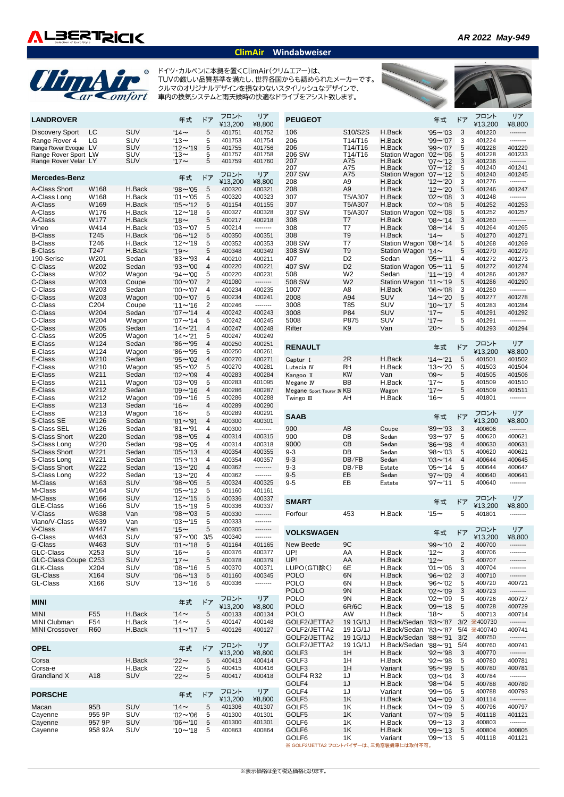

## **ClimAir Windabweiser**



ドイツ・カルベンに本拠を置くClimAir(クリムエアー)は、 TUVの厳しい品質基準を満たし、世界各国からも認められたメーカーです。 クルマのオリジナルデザインを損なわないスタイリッシュなデザインで、 車内の換気システムと雨天候時の快適なドライブをアシスト致します。



| <b>LANDROVER</b>                       |                  |            | 年式                 | ドア             | フロント<br>¥13,200 | リア<br>¥8,800 | <b>PEUGEOT</b>            |                |                                 | 年式             | ドア             | フロント<br>¥13,200 | リア<br>¥8,800 |
|----------------------------------------|------------------|------------|--------------------|----------------|-----------------|--------------|---------------------------|----------------|---------------------------------|----------------|----------------|-----------------|--------------|
| Discovery Sport                        | LC               | SUV        | $14-$              | 5              | 401751          | 401752       | 106                       | S10/S2S        | H.Back                          | $95 - 03$      | 3              | 401220          | --------     |
|                                        | LG               | SUV        | '13 $\sim$         | 5              | 401753          | 401754       | 206                       | T14/T16        | H.Back                          | $99 - 07$      | 3              | 401224          | --------     |
| Range Rover 4<br>Range Rover Evoque LV |                  | <b>SUV</b> | $'12 \sim 19$      | 5              | 401755          | 401756       | 206                       | T14/T16        | H.Back                          | $99 - 07$      | 5              | 401228          | 401229       |
| Range Rover Sport LW                   |                  | SUV        | '13 $\thicksim$    | 5              | 401757          | 401758       | 206 SW                    | T14/T16        | <b>Station Wagon</b>            | $'02 \sim'06$  | 5              | 401228          | 401233       |
| Range Rover Velar LY                   |                  | <b>SUV</b> | '17 $\sim$         | 5              | 401759          | 401760       | 207                       | A75            | H.Back                          | $'07 - '12$    | 3              | 401236          | --------     |
|                                        |                  |            |                    |                |                 |              | 207                       | A75            | H.Back                          | $'07 \sim '12$ | 5              | 401240          | 401241       |
| <b>Mercedes-Benz</b>                   |                  |            | 年式                 | ドア             | フロント            | リア           | 207 SW                    | A75            | Station Wagon '07~'12           |                | 5              | 401240          | 401245       |
|                                        |                  |            |                    |                | ¥13,200         | ¥8,800       | 208                       | A9             | H.Back                          | $'12 \sim 20$  | 3              | 401276          | --------     |
| A-Class Short                          | W168             | H.Back     | $98 - 05$          | 5              | 400320          | 400321       | 208                       | A <sub>9</sub> | H.Back                          | $'12 \sim 20$  | 5              | 401246          | 401247       |
| A-Class Long                           | W168             | H.Back     | $'01 \sim 05$      | 5              | 400320          | 400323       | 307                       | T5/A307        | H.Back                          | $'02 \sim '08$ | 3              | 401248          | --------     |
| A-Class                                | W169             | H.Back     | $'05 \sim '12$     | 5              | 401154          | 401155       | 307                       | T5/A307        | H.Back                          | $'02 \sim '08$ | 5              | 401252          | 401253       |
| A-Class                                | W176             | H.Back     | $'12 - 18$         | 5              | 400327          | 400328       | 307 SW                    | T5/A307        | <b>Station Wagon</b>            | $'02 \sim '08$ | 5              | 401252          | 401257       |
| A-Class                                | W177             | H.Back     | '18 $\sim$         | 5              | 400217          | 400218       | 308                       | T7             | H.Back                          | $'08 \sim '14$ | 3              | 401260          | --------     |
| Vineo                                  | W414             | H.Back     | $'03 \sim '07$     | 5              | 400214          | --------     | 308                       | T7             | H.Back                          | $'08 \sim '14$ | 5              | 401264          | 401265       |
| <b>B-Class</b>                         | T <sub>245</sub> | H.Back     | $'06 \sim '12$     | 5              | 400350          | 400351       | 308                       | T <sub>9</sub> | H.Back                          | $14-$          | 5              | 401270          | 401271       |
| <b>B-Class</b>                         | T246             | H.Back     | $'12 - '19$        | 5              | 400352          | 400353       | 308 SW                    | T7             | Station Wagon '08~'14           |                | 5              | 401268          | 401269       |
| <b>B-Class</b>                         | T247             | H.Back     | '19 $\sim$         | 5              | 400348          | 400349       | 308 SW                    | T <sub>9</sub> | Station Wagon '14 $\sim$        |                | 5              | 401270          | 401279       |
| 190-Serise                             | W201             | Sedan      | $'83 \sim '93$     | $\overline{4}$ | 400210          | 400211       | 407                       | D <sub>2</sub> | Sedan                           | $'05 \sim '11$ | 4              | 401272          | 401273       |
| C-Class                                | W202             | Sedan      | $93 - 00$          | $\overline{4}$ | 400220          | 400221       | 407 SW                    | D <sub>2</sub> | Station Wagon '05~'11           |                | 5              | 401272          | 401274       |
| C-Class                                | W202             | Wagon      | $94 - 00$          | 5              | 400220          | 400231       | 508                       | W <sub>2</sub> | Sedan                           | $'11 \sim 19$  | 4              | 401286          | 401287       |
| C-Class                                | W203             | Coupe      | $'00 \sim '07$     | $\overline{2}$ | 401080          | --------     | 508 SW                    | W <sub>2</sub> | Station Wagon '11~'19           |                | 5              | 401286          | 401290       |
| C-Class                                | W203             | Sedan      | $'00 \sim '07$     | $\overline{4}$ | 400234          | 400235       | 1007                      | A8             | H.Back                          | $'06 \sim 08$  | 3              | 401280          | --------     |
| C-Class                                | W203             | Wagon      | $'00 \sim '07$     | 5              | 400234          | 400241       | 2008                      | A94            | SUV                             | $'14 \sim 20$  | 5              | 401277          | 401278       |
| C-Class                                | C <sub>204</sub> | Coupe      | $'11 \sim 16$      | 2              | 400246          | --------     | 3008                      | T85            | SUV                             | $'10 \sim '17$ | 5              | 401283          | 401284       |
| C-Class                                | W204             | Sedan      | $'07 \sim '14$     | $\overline{4}$ | 400242          | 400243       | 3008                      | P84            | <b>SUV</b>                      | '17 $\sim$     | 5              | 401291          | 401292       |
| C-Class                                | W204             | Wagon      | $'07 \sim '14$     | 5              | 400242          | 400245       | 5008                      | P875           | SUV                             | '17 $\sim$     | 5              | 401291          | --------     |
| C-Class                                | W205             | Sedan      | $'14 \sim '21$     | $\overline{4}$ | 400247          | 400248       | Rifter                    | K <sub>9</sub> | Van                             | $20 \sim$      | 5              | 401293          | 401294       |
| C-Class                                | W205             | Wagon      | $'14 \sim 21$      | 5              | 400247          | 400249       |                           |                |                                 |                |                |                 |              |
| E-Class                                | W124             | Sedan      | $96 - 95$          | 4              | 400250          | 400251       |                           |                |                                 |                |                |                 | リア           |
|                                        | W124             |            |                    | 5              |                 | 400261       | <b>RENAULT</b>            |                |                                 | 年式             | ドア             | フロント            |              |
| E-Class                                |                  | Wagon      | $96 - 95$          |                | 400250          |              |                           |                |                                 |                |                | ¥13,200         | ¥8,800       |
| E-Class                                | W210             | Sedan      | $95 - 02$          | $\overline{4}$ | 400270          | 400271       | Captur I                  | 2R             | H.Back                          | $'14 \sim 21$  | 5              | 401501          | 401502       |
| E-Class                                | W210             | Wagon      | $95 - 02$          | 5              | 400270          | 400281       | Lutecia IV                | RH             | H.Back                          | $13 - 20$      | 5              | 401503          | 401504       |
| E-Class                                | W211             | Sedan      | $'02 \sim '09$     | $\overline{4}$ | 400283          | 400284       | Kangoo II                 | KW             | Van                             | $90^{\circ}$   | 5              | 401505          | 401506       |
| E-Class                                | W211             | Wagon      | $'03 \sim '09$     | 5              | 400283          | 401095       | Megane IV                 | BB             | H.Back                          | '17 $\sim$     | 5              | 401509          | 401510       |
| E-Class                                | W212             | Sedan      | $'09 - '16$        | 4              | 400286          | 400287       | Megane Sport Tourer IV KB |                | Wagon                           | '17 $\sim$     | 5              | 401509          | 401511       |
| E-Class                                | W212             | Wagon      | $'09 - '16$        | 5              | 400286          | 400288       | Twingo III                | AH             | H.Back                          | $16-$          | 5              | 401801          | --------     |
| E-Class                                | W213             | Sedan      | $16 -$             | $\overline{4}$ | 400289          | 400290       |                           |                |                                 |                |                |                 |              |
| E-Class                                | W213             | Wagon      | '16 $\sim$         | 5              | 400289          | 400291       | <b>SAAB</b>               |                |                                 | 年式             | ドア             | フロント            | リア           |
| S-Class SE                             | W126             | Sedan      | $'81 - '91$        | $\overline{4}$ | 400300          | 400301       |                           |                |                                 |                |                | ¥13,200         | ¥8,800       |
| S-Class SEL                            | W126             | Sedan      | $'81 - '91$        | $\overline{4}$ | 400300          | --------     | 900                       | AB             | Coupe                           | $'89 - '93$    | 3              | 400606          | --------     |
| S-Class Short                          | W220             | Sedan      | $98 - 05$          | $\overline{4}$ | 400314          | 400315       | 900                       | DB             | Sedan                           | '93~'97        | 5              | 400620          | 400621       |
| S-Class Long                           | W220             | Sedan      | $98 - 05$          | $\overline{4}$ | 400314          | 400318       | 9000                      | CB             | Sedan                           | '86~'98        | 4              | 400630          | 400631       |
| S-Class Short                          | W221             | Sedan      | $'05 \sim '13$     | $\overline{4}$ | 400354          | 400355       | $9 - 3$                   | DB             | Sedan                           | '98~'03        | 5              | 400620          | 400621       |
| S-Class Long                           | W221             | Sedan      | $'05 \sim '13$     | $\overline{4}$ | 400354          | 400357       | $9 - 3$                   | DB/FB          | Sedan                           | $'03 \sim '14$ | 4              | 400644          | 400645       |
| S-Class Short                          | W222             | Sedan      | $13 - 20$          | $\overline{4}$ | 400362          | --------     | $9 - 3$                   | DB/FB          | Estate                          | $'05 \sim '14$ | 5              | 400644          | 400647       |
| S-Class Long                           | W222             | Sedan      | $'13 \sim '20$     | 4              | 400362          | --------     | $9 - 5$                   | EB             | Sedan                           | $'97 \sim '09$ | 4              | 400640          | 400641       |
| M-Class                                | W163             | <b>SUV</b> | $98 - 05$          | 5              | 400324          | 400325       | $9 - 5$                   | EB             | Estate                          | $97 - 11$      | 5              | 400640          | --------     |
| M-Class                                | W164             | SUV        | $'05 \sim '12$     | 5              | 401160          | 401161       |                           |                |                                 |                |                |                 |              |
| M-Class                                | W166             | <b>SUV</b> | $'12 \sim 15$      | 5              | 400336          | 400337       | <b>SMART</b>              |                |                                 |                | ドア             | フロント            | リア           |
| GLE-Class                              | W166             | SUV        | $15 - 19$          | 5              | 400336          | 400337       |                           |                |                                 | 年式             |                | ¥13,200         | ¥8,800       |
| V-Class                                | W638             | Van        | $98 - 03$          | 5              | 400330          | --------     | Forfour                   | 453            | H.Back                          | '15 $\sim$     | 5              | 401801          |              |
| Viano/V-Class                          | W639             | Van        | $'03 \sim '15$     | 5              | 400333          | --------     |                           |                |                                 |                |                |                 |              |
| V-Class                                | W447             | Van        | '15 $\thicksim$    | 5              | 400305          |              |                           |                |                                 |                |                | フロント            | リア           |
| G-Class                                | W463             | SUV        | $'97 \sim '00$ 3/5 |                | 400340          | --------     | <b>VOLKSWAGEN</b>         |                |                                 | 年式             | ドア             | ¥13,200         | ¥8,800       |
| G-Class                                | W463             | SUV        | $'01 - '18$        | 5              | 401164          | 401165       | New Beetle                | 9C             |                                 | $99 - 10$      | $\overline{2}$ | 400700          | --------     |
| GLC-Class                              | X253             | SUV        | '16 $\sim$         | 5              | 400376          | 400377       | UP!                       | AA             | H.Back                          | '12 $\sim$     | 3              | 400706          | --------     |
| GLC-Class Coupe C253                   |                  | SUV        | '17 $\sim$         | 5              | 400378          | 400379       | UP!                       | AA             | H.Back                          | '12 $\sim$     | 5              | 400707          | --------     |
| GLK-Class                              | X204             | SUV        | $'08 \sim '16$     | 5              | 400370          | 400371       | LUPO(GTI除く)               | 6E             | H.Back                          | $'01 - '06$    | 3              | 400704          |              |
| <b>GL-Class</b>                        | X164             | SUV        | $'06 \sim '13$     | 5              | 401160          | 400345       | <b>POLO</b>               | 6N             | H.Back                          | $96 - 02$      | 3              | 400710          | --------     |
| GL-Class                               | X166             | SUV        | $13 - 16$          | 5              | 400336          | --------     | <b>POLO</b>               | 6N             | H.Back                          | $96 - 02$      | 5              | 400720          | 400721       |
|                                        |                  |            |                    |                |                 |              | <b>POLO</b>               | 9N             | H.Back                          | $'02\sim'09$   | 3              | 400723          | --------     |
|                                        |                  |            |                    |                |                 |              | <b>POLO</b>               | 9N             | H.Back                          | $'02 \sim '09$ |                |                 |              |
| <b>MINI</b>                            |                  |            | 年式                 | ドア             | フロント            | リア           |                           | 6R/6C          |                                 |                | 5              | 400726          | 400727       |
|                                        |                  |            |                    |                | ¥13,200         | ¥8,800       | <b>POLO</b>               |                | H.Back                          | $'09 - '18$    | 5              | 400728          | 400729       |
| <b>MINI</b>                            | F55              | H.Back     | $14-$              | $\sqrt{5}$     | 400133          | 400134       | <b>POLO</b>               | AW             | H.Back                          | '18 $\sim$     | 5              | 400713          | 400714       |
| MINI Clubman                           | F54              | H.Back     | '14 $\sim$         | 5              | 400147          | 400148       | GOLF2/JETTA2              | 19 1 G/1 J     | H.Back/Sedan '83~'87            |                |                | 3/2 *400730     | --------     |
| <b>MINI Crossover</b>                  | <b>R60</b>       | H.Back     | $'11 \sim '17$     | 5              | 400126          | 400127       | GOLF2/JETTA2              | 19 1G/1J       | H.Back/Sedan '83 $\sim$ '87 5/4 |                |                | <b>※400740</b>  | 400741       |
|                                        |                  |            |                    |                |                 |              | GOLF2/JETTA2              | 19 1 G/1 J     | H.Back/Sedan '88~'91            |                | 3/2            | 400750          | --------     |
| <b>OPEL</b>                            |                  |            | 年式                 | ドア             | フロント            | リア           | GOLF2/JETTA2              | 19 1 G/1 J     | H.Back/Sedan '88~'91            |                | 5/4            | 400760          | 400741       |
|                                        |                  |            |                    |                | ¥13,200         | ¥8,800       | GOLF3                     | 1H             | H.Back                          | $92 - 98$      | 3              | 400770          | --------     |
| Corsa                                  |                  | H.Back     | $22 -$             | 5              | 400413          | 400414       | GOLF3                     | 1H             | H.Back                          | $92 - 98$      | 5              | 400780          | 400781       |
| Corsa-e                                |                  | H.Back     | '22 $\thicksim$    | 5              | 400415          | 400416       | GOLF3                     | 1H             | Variant                         | $95 - 99$      | 5              | 400780          | 400781       |
| Grandland X                            | A18              | <b>SUV</b> | $22$ ~             | 5              | 400417          | 400418       | GOLF4 R32                 | 1J             | H.Back                          | $'03 \sim'04$  | 3              | 400784          | --------     |
|                                        |                  |            |                    |                |                 |              | GOLF4                     | 1J             | H.Back                          | $98 - 04$      | 5              | 400788          | 400789       |
| <b>PORSCHE</b>                         |                  |            | 年式                 | ドア             | フロント            | リア           | GOLF4                     | 1J             | Variant                         | $99 - 06$      | 5              | 400788          | 400793       |
|                                        |                  |            |                    |                | ¥13,200         | ¥8,800       | GOLF <sub>5</sub>         | 1K             | H.Back                          | $'04 \sim '09$ | 3              | 401114          | --------     |
| Macan                                  | 95B              | SUV        | $14-$              | 5              | 401306          | 401307       | GOLF5                     | 1K             | H.Back                          | $'04 \sim '09$ | 5              | 400796          | 400797       |
| Cayenne                                | 955 9P           | SUV        | $'02 \sim '06$     | 5              | 401300          | 401301       | GOLF5                     | 1K             | Variant                         | $'07 \sim '09$ | 5              | 401118          | 401121       |
| Cayenne                                | 957 9P           | <b>SUV</b> | $'06 \sim '10$     | 5              | 401300          | 401301       | GOLF6                     | 1K             | H.Back                          | $'09 \sim '13$ | 3              | 400803          | --------     |
| Cayenne                                | 958 92A          | SUV        | $'10 - '18$        | 5              | 400863          | 400864       | GOLF <sub>6</sub>         | 1K             | H.Back                          | $'09 \sim '13$ | 5              | 400804          | 400805       |
|                                        |                  |            |                    |                |                 |              |                           |                |                                 |                |                |                 |              |

GOLF6 1K Variant '09〜'13 5 401118 401121<br>※ GOLF2/JETTA2 フロントバイザーは、三角窓装備車には取付不可。